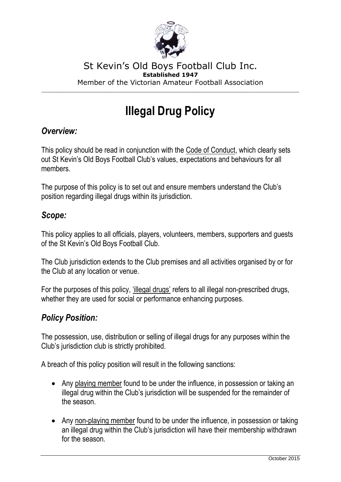

#### St Kevin's Old Boys Football Club Inc. **Established 1947** Member of the Victorian Amateur Football Association

\_\_\_\_\_\_\_\_\_\_\_\_\_\_\_\_\_\_\_\_\_\_\_\_\_\_\_\_\_\_\_\_\_\_\_\_\_\_\_\_\_\_\_\_\_\_\_\_\_\_\_\_\_\_\_\_\_\_\_\_\_\_\_\_\_\_\_\_\_\_\_\_\_\_\_\_\_\_\_\_\_\_\_\_\_\_\_\_\_\_

# **Illegal Drug Policy**

# *Overview:*

This policy should be read in conjunction with the Code of Conduct, which clearly sets out St Kevin's Old Boys Football Club's values, expectations and behaviours for all members.

The purpose of this policy is to set out and ensure members understand the Club's position regarding illegal drugs within its jurisdiction.

## *Scope:*

This policy applies to all officials, players, volunteers, members, supporters and guests of the St Kevin's Old Boys Football Club.

The Club jurisdiction extends to the Club premises and all activities organised by or for the Club at any location or venue.

For the purposes of this policy, 'illegal drugs' refers to all illegal non-prescribed drugs, whether they are used for social or performance enhancing purposes.

# *Policy Position:*

The possession, use, distribution or selling of illegal drugs for any purposes within the Club's jurisdiction club is strictly prohibited.

A breach of this policy position will result in the following sanctions:

- Any playing member found to be under the influence, in possession or taking an illegal drug within the Club's jurisdiction will be suspended for the remainder of the season.
- Any non-playing member found to be under the influence, in possession or taking an illegal drug within the Club's jurisdiction will have their membership withdrawn for the season